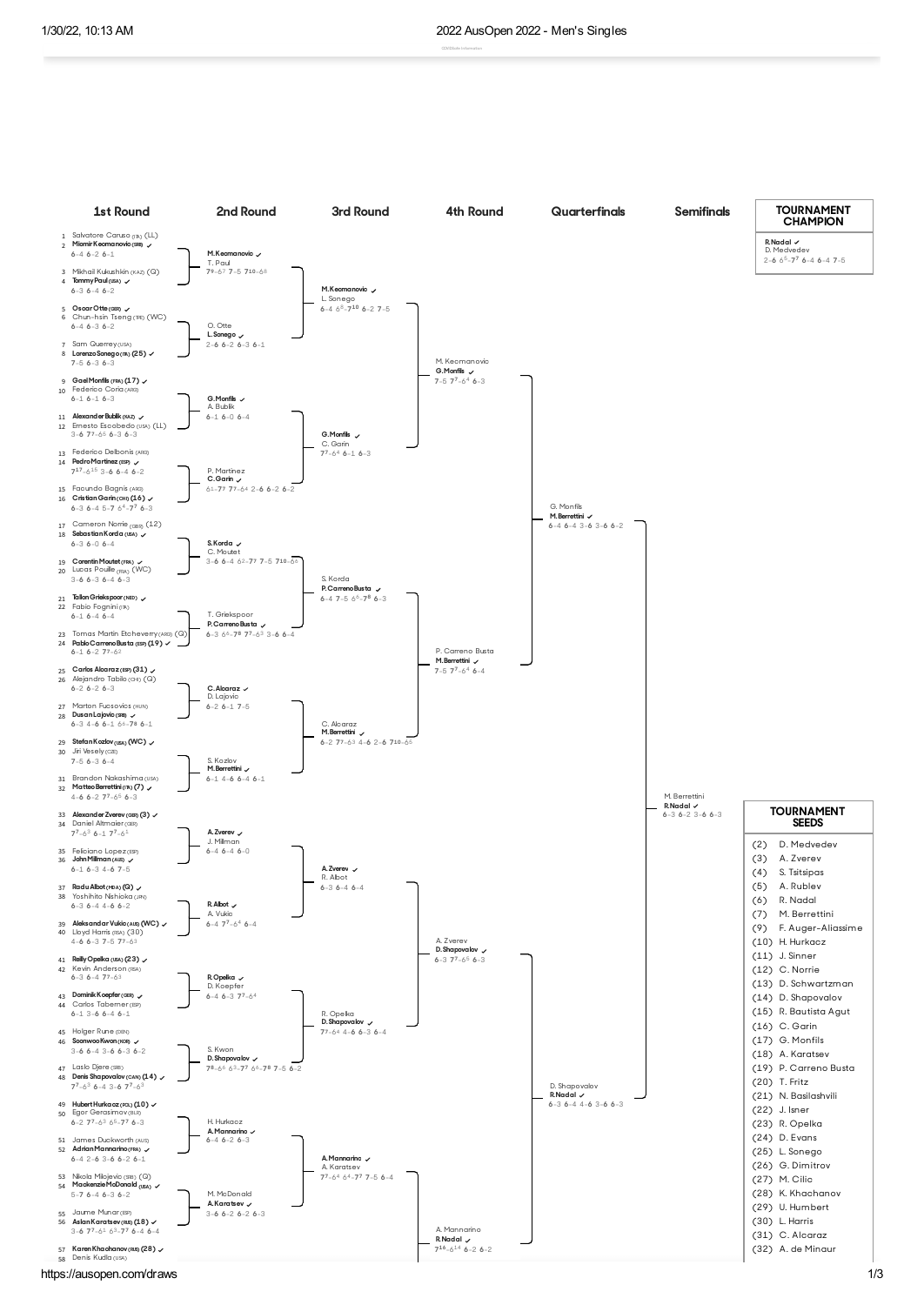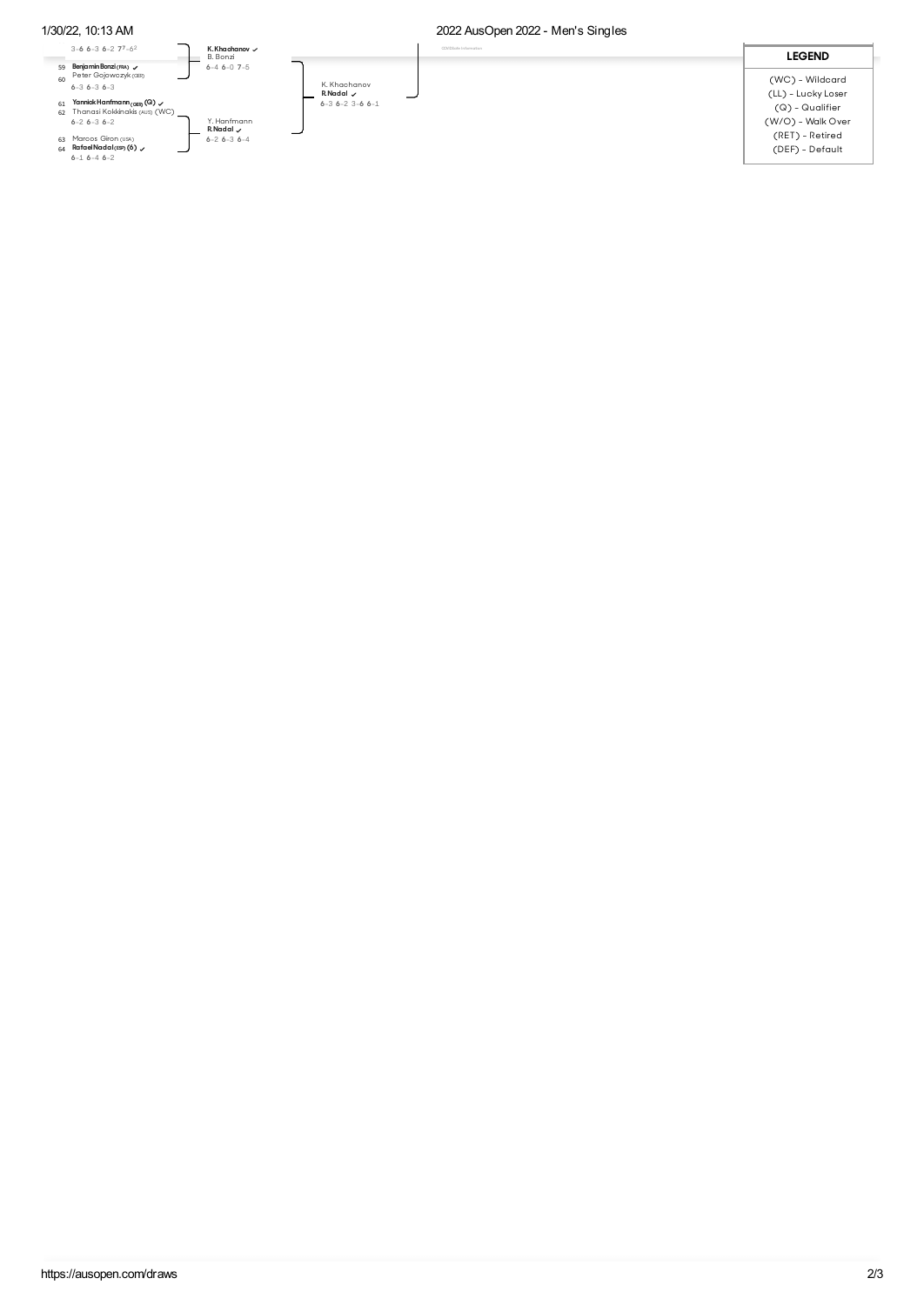## 1/30/22, 10:13 AM 2022 AusOpen 2022 - Men's Singles